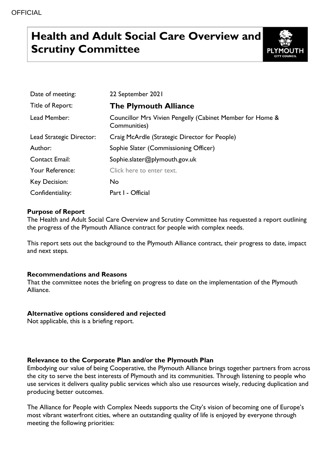# **Health and Adult Social Care Overview and Scrutiny Committee**



| Date of meeting:         | 22 September 2021                                                         |
|--------------------------|---------------------------------------------------------------------------|
| Title of Report:         | <b>The Plymouth Alliance</b>                                              |
| Lead Member:             | Councillor Mrs Vivien Pengelly (Cabinet Member for Home &<br>Communities) |
| Lead Strategic Director: | Craig McArdle (Strategic Director for People)                             |
| Author:                  | Sophie Slater (Commissioning Officer)                                     |
| <b>Contact Email:</b>    | Sophie.slater@plymouth.gov.uk                                             |
| Your Reference:          | Click here to enter text.                                                 |
| Key Decision:            | No.                                                                       |
| Confidentiality:         | Part I - Official                                                         |

# **Purpose of Report**

The Health and Adult Social Care Overview and Scrutiny Committee has requested a report outlining the progress of the Plymouth Alliance contract for people with complex needs.

This report sets out the background to the Plymouth Alliance contract, their progress to date, impact and next steps.

# **Recommendations and Reasons**

That the committee notes the briefing on progress to date on the implementation of the Plymouth Alliance.

# **Alternative options considered and rejected**

Not applicable, this is a briefing report.

# **Relevance to the Corporate Plan and/or the Plymouth Plan**

Embodying our value of being Cooperative, the Plymouth Alliance brings together partners from across the city to serve the best interests of Plymouth and its communities. Through listening to people who use services it delivers quality public services which also use resources wisely, reducing duplication and producing better outcomes.

The Alliance for People with Complex Needs supports the City's vision of becoming one of Europe's most vibrant waterfront cities, where an outstanding quality of life is enjoyed by everyone through meeting the following priorities: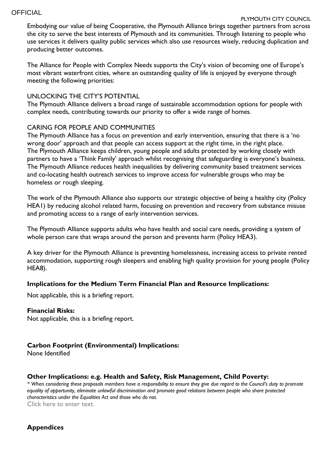#### **OFFICIAL**

# PLYMOUTH CITY COUNCIL

Embodying our value of being Cooperative, the Plymouth Alliance brings together partners from across the city to serve the best interests of Plymouth and its communities. Through listening to people who use services it delivers quality public services which also use resources wisely, reducing duplication and producing better outcomes.

The Alliance for People with Complex Needs supports the City's vision of becoming one of Europe's most vibrant waterfront cities, where an outstanding quality of life is enjoyed by everyone through meeting the following priorities:

# UNLOCKING THE CITY'S POTENTIAL

The Plymouth Alliance delivers a broad range of sustainable accommodation options for people with complex needs, contributing towards our priority to offer a wide range of homes.

#### CARING FOR PEOPLE AND COMMUNITIES

The Plymouth Alliance has a focus on prevention and early intervention, ensuring that there is a 'no wrong door' approach and that people can access support at the right time, in the right place. The Plymouth Alliance keeps children, young people and adults protected by working closely with partners to have a 'Think Family' approach whilst recognising that safeguarding is everyone's business. The Plymouth Alliance reduces health inequalities by delivering community based treatment services and co-locating health outreach services to improve access for vulnerable groups who may be homeless or rough sleeping.

The work of the Plymouth Alliance also supports our strategic objective of being a healthy city (Policy HEA1) by reducing alcohol related harm, focusing on prevention and recovery from substance misuse and promoting access to a range of early intervention services.

The Plymouth Alliance supports adults who have health and social care needs, providing a system of whole person care that wraps around the person and prevents harm (Policy HEA3).

A key driver for the Plymouth Alliance is preventing homelessness, increasing access to private rented accommodation, supporting rough sleepers and enabling high quality provision for young people (Policy HEA8).

# **Implications for the Medium Term Financial Plan and Resource Implications:**

Not applicable, this is a briefing report.

#### **Financial Risks:**

Not applicable, this is a briefing report.

# **Carbon Footprint (Environmental) Implications:**

None Identified

#### **Other Implications: e.g. Health and Safety, Risk Management, Child Poverty:**

*\* When considering these proposals members have a responsibility to ensure they give due regard to the Council's duty to promote equality of opportunity, eliminate unlawful discrimination and promote good relations between people who share protected characteristics under the Equalities Act and those who do not.* Click here to enter text.

# **Appendices**